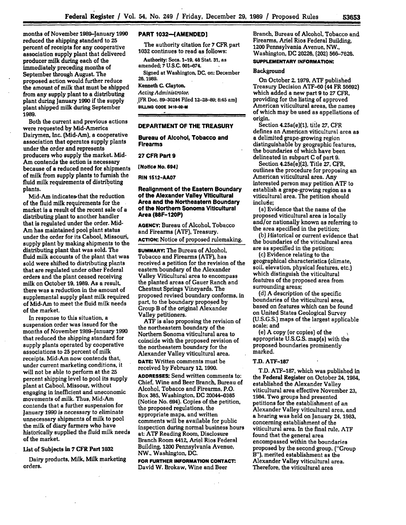months of November 1989-January **1990** reduced the shipping standard to **25** percent of receipts for any cooperative association supply plant that delivered producer milk during each of the immediately preceding months of September through August. The proposed action would further reduce the amount of milk that must be shipped from any supply plant to a distributing plant during January **1990** if the supply plant shipped milk during September **1989.**

Both the current and previous actions were requested **by** Mid-America Dairymen. Inc. (Mid-Am), a cooperative association that operates supply plants under the order and represents producers who supply the market. **Mid-**Am contends the action is necessary because of a reduced need for shipments of milk from supply plants to furnish the fluid milk requirements of distributing plants.

Mid-Am indicates- that the reduction of the fluid milk requirements for the market is a result of the recent sale of a distributing plant to another handler that is regulated under the order. Mid-Am has maintained pool plant status under the order for its Cabool, Missouri, supply plant **by** making shipments to the distributing plant that was sold. The fluid milk accounts of the plant that was sold were shifted to distributing plants that are regulated under other Federal orders and the plant ceased receiving milk on October **19, 1989.** As a result, there was a reduction in the amount of supplemental supply plant milk required of Mid-Am to meet the fluid milk needs of the market.

In response to this situation, a suspension order was issued for the months of November 1989-January **1990** that reduced the shipping standard for supply plants operated **by** cooperative associations to **25** percent of milk receipts. Mid-Am now contends that, under current marketing conditions, it will not be able to perform at the **25** percent shipping level to pool its supply plant at Cabool. Missour, without engaging in inefficient and uneconomic movements of milk. Thus, Mid-Am contends that a further suspension for January **1990** is necessary to eliminate unnecessary shipments of milk to pool the milk of diary farmers who have historically supplied the fluid milk needs of the market.

# **List** of Subjects in **7** CFR Part **1032**

Dairy products, **Milk,** Milk marketing orders.

# **PART 1032--[AMENDED]**

The authority citation for **7** CFR part **1032** continues to read as follows:

Authority: Secs. **1-19, 48 Stat. 31,** as amended; **7 U.S.C. 601-674.** Signed at Washington, **DC,** on: December

# **26, 1989.**

Kenneth **C.** Clayton,

*Acting Administrator.*

**[FR** Doc. **89-30244 Filed 12-28-89; 8:45 am] BILLING CODE 3410-02-M**

### **DEPARTMENT OF THE TREASURY**

**Bureau of Alcohol, Tobacco and Firearms**

#### **27 CFR Part 9**

**[Notice No. 694]**

**RIN 1512-AA07**

# **Realignment of the Eastern Boundary of the Alexander Valley Viticultural Area and the Northeastern Boundary of the Northern Sonoma Viticultural Area (88F-120P)**

**AGENCY:** Bureau of Alcohol, Tobacco and Firearms **(ATF),** Treasury. **ACTION:** Notice of proposed rulemaking.

**SUMMARY: The** Bureau of Alcohol, Tobacco and Firearms **(ATF),** has received a petition for the revision of the eastern boundary of the Alexander Valley Viticultural area to encompass the planted areas of Gauer Ranch and Chestnut Springs Vineyards. The proposed revised boundary conforms, in part, to the boundary proposed **by** Group B of the original Alexander Valley petitioners.

**ATF** is also proposing the revision of the northeastern boundary of the Northern Sonoma viticultural area to coincide with the proposed revision of the northeastern boundary for the Alexander Valley viticultural area.

**DATE:** Written comments must be received **by** February **12, 1990.**

**ADDRESSES:** Send written comments **to:** Chief, Wine and Beer Branch, Bureau of Alcohol, Tobacco and Firearms, P.O. Box **385,** Washington, **DC** 20044-0385 (Notice No. 694). Copies of the petition, the proposed regulations, the appropriate maps, and written comments will be available for public inspection during normal business hours at: **ATF** Reading Room, Disclosure Branch Room 4412, **Ariel** Rios Federal Building, 1200 Pennsylvania Avenue, NW., Washington, **DC.**

**FOR FURTHER INFORMATION CONTACT.** David W. Brokaw, Wine and Beer

 $\mathbf{r}^{(i)}$ 

Branch, Bureau of Alcohol, Tobacco and Firearms, Ariel Rios Federal Building, 1200 Pennsylvania Avenue, NW., Washington, **DC 20226,** (202) 566-7626.

# **SUPPLEMENTARY INFORMATION:**

# Background

On October **2, 1979, ATF** published Treasury Decision ATF-60 **(44** FR **56692)** which added a new part **9** to **27** CFR, providing for the listing of approved American viticultural areas, the names of which may be used as appellations of origin.

Section 4.25a(e)(1), title **27,** CFR defines an American viticultural area as a delimited grape-growing region distinguishable by geographic features, the boundaries of which have been delineated in subpart **C** of part **9.**

Section 4.25a(e)(2), Title **27,** CFR, outlines the procedure for proposing an American viticultural area. Any interested person may petition ATF to establish a grape-growing region as a viticultural area. The petition should include;

(a) Evidence that the name of the proposed viticultural area is locally and/or nationally known as referring to the area specified in the petition;

**(b)** Historical or current evidence that the boundaries of the viticultural area are as specified in the petition;

(c) Evidence relating to the geographical characteristics (climate, soil, elevation, physical features, etc.) which distinguish the viticultural features of the proposed area from surrounding areas;

*(d)* A description of the specific boundaries of the viticultural area, based on features which can be found on United States Geological Survey **(U.S.G.S.)** maps of the largest applicable scale; and

(e) **A** copy (or copies) of the appropriate **U.S.G.S.** map(s) with the proposed boundaries prominently marked.

#### T.D. **ATF-187**

T.D. **ATF-187,** which was published in the Federal Register on October 24, 1984, established the Alexander Valley viticultural area effective November **23,** 1984. Two groups had presented petitions for the establishment of an Alexander Valley viticultural area, and a hearing was held on January 24, **1983,** concerning establishment of the viticultural area. In the final rule, ATF found that the general area encompassed within the boundaries proposed by the second group, ("Group B"), merited establishment as the Alexander Valley viticultural area. Therefore, the viticultural area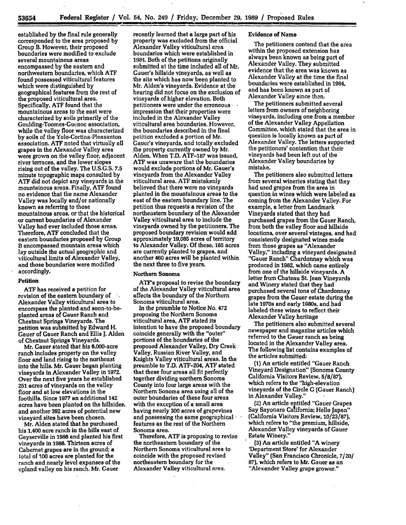established **by** the final rule generally corresponded to the area proposed **by** Group B. However, their proposed boundaries were modified to exclude several mountainous areas encompassed **by** the eastern and northwestern boundaries, which **ATF** found possessed viticultural features which were distinguished **by** geographical features from the rest of the proposed viticultural area. Specifically, **ATF** found that the mountainous areas to the east were characterized **by** soils primarily of the Goulding-Toomes-Guenoc association, while the valley floor was characterized **by** soils of the Yolo-Cortina-Pleasanton association. **ATF** noted that virtually all grapes in the Alexander Valley area were grown on the valley floor, adjacent river terraces, and the lower slopes rising out of the valley. The **U.S.G.S. 7.5** minute topographic maps consulted by **ATF** did not depict any vineyards in the mountainous areas. Finally, **ATF** found no evidence that the name Alexander Valley was locally and/or nationally known as referring to those mountainous areas, or that the historical or current boundaries of Alexander Valley had ever included those areas. Therefore, **ATF** concluded that the eastern boundaries proposed **by** Group B encompassed mountain areas which lay outside the actual geographic and viticultural limits of Alexander Valley, and those boundaries were modified accordingly.

#### Petition

**ATF** has received a petition for revision of the eastern boundary of Alexander Valley viticultural area to encompass the planted and soon-to-beplanted areas of Gauer Ranch and Chestnut Springs Vineyards. The petition was submitted **by** Edward H. Gauer of Gauer Ranch and Ellis **J.** Alden of Chestnut Springs Vineyards.

Mr. Gauer stated that his 6,000-acre ranch includes property on the valley floor and land rising to the northeast into the hills. Mr. Gauer began planting vineyards in Alexander Valley in **1972.** Over the next five years he established **251** acres of vineyards on the valley floor and at low elevations in the foothills. Since **1977** an additional 142 acres have been planted on the hillsides, and another **392** acres of potential new vineyard sites have been chosen.

Mr. Alden stated that he purchased his 1,400 acre ranch in the hills east of Geyserville in **1986** and planted his first vineyards in **1988.** Thirteen acres of Cabernet grapes are in the ground; a total of **100** acres are planted for the ranch and nearly level expanses of the upland valley on his ranch. Mr. Gauer

recently learned that a large part of his property was excluded from the official Alexander Valley viticultural area boundaries which were established in 1934. Both of the petitions originally submitted at the time included all of Mr. Gauer's hillside vineyards, as well as the site which has now been planted to Mr. Alden's vineyards. Evidence at the hearing did not focus on the exclusion of vineyards of higher elevation. Both petitioners were under the erroneous impression that their properties were included in the Alexander Valley viticultural area boundaries. However, the boundaries described in the final petition excluded a portion of Mr. Gauer's vineyards, and totally excluded **the** property currently owned **by** Mr. Alden. When T.D. **ATF-187** was issued, **ATF** was unaware that the boundaries would exclude portions of Mr. Gauer's vineyards from the Alexander Valley viticultural area. **ATF** mistakenly believed that there were no vineyards planted in the mountainous areas to the east of the eastern boundary line. The petition thus requests a revision of the northeastern boundary of the Alexander Valley viticultural area to include the vineyards owned **by** the petitioners. The proposed boundary revision would add approximately **19,085** acres of territory to Alexander Valley. **Of** these, **165** acres are currently planted to grapes, and another 460 acres will be planted within the next three to five years.

#### Northern Sonoma

ATF's proposal to revise the boundary of the Alexander Valley viticultural area affects the boundary of the Northern Sonoma viticultural area.

In the preamble to Notice No. 472 proposing the Northern Sonoma viticultural area, **ATF** stated its intention to have the proposed boundary coincide generally with the "outer" portions of the boundaries of the proposed Alexander Valley, Dry Creek Valley, Russian River Valley, and Knights Valley viticultural areas. In the preamble to T.D. ATF-204, **ATF** stated that these four areas all fit perfectly together dividing northern Sonoma County into four large areas with the Northern Sonoma area using all of the outer boundaries of these four areas with the exception of a small area having nearly **300** acres of grapevines and possessing the same geographical **features** as the rest of the Northern Sonoma area.

Therefore, **ATF** is proposing to revise the northeastern boundary of the Northern Sonoma viticultural area to coincide with the proposed revised northeastern boundary for the Alexander Valley viticultural area.

### Evidence of Name

The petitioners contend that the area within the proposed extension has always been known as being part of Alexander Valley. They submitted evidence that the area was known as Alexander Valley at the time the final boundaries were established in 1984, and has been known as part of Alexander Valley since then.

The petitioners submitted several letters from owners of neighboring vineyards, including one from a member of the Alexander Valley Appellation Committee, which stated that the area in question is locally known as part of Alexander Valley. The letters supported the petitioners' contention that their vineyards had been left out of the Alexander Valley boundaries **by** mistake.

The petitioners also submitted letters from several wineries stating that they had used grapes from the area in question in wines which were labeled as coming from the Alexander Valley. For example, a letter from Landmark Vineyards stated that they had purchased grapes from the Gauer Ranch, from both the valley floor and hillside locations, over several vintages, and had consistently designated wines made from those grapes as "Alexander Valley," including a vineyard designated "Gauer Ranch" Chardonnay which was produced in **1982,** which came entirely from one of the hillside vineyards. **A** letter from Chateau St. Jean Vineyards and 'Winery stated that they had purchased several tons of Chardonnay grapes from the Gauer estate during the late 1970s and early 1980s, and had labeled these wines to reflect their Alexander Valley heritage

The petitioners also submitted several newspaper and magazine articles which referred to the Gauer ranch as being located in the Alexander Valley area. The following list contains examples of the articles submitted:

**(1)** An article entitled "Gauer Ranch Vineyard Designation" (Sonoma County California Visitors Review, **5/8/87),** which refers to the "high-elevation vineyards of the Circle **G** (Gauer Ranch) in Alexander Valley."

(2) An article entitled "Gauer Grapes Say Sayonara California; Hello Japan" (California Visitors Review, **10/23/87),** which refers to "the premium, hillside, Alexander Valley vineyards of Gauer Estate Winery."

**(3)** An article entitled "A winery 'Department Store' for Alexander Valley" (San Francisco Chronicle, **7/20/ 87),** which refers to Mr. Gauer as an "Alexander Valley grape grower."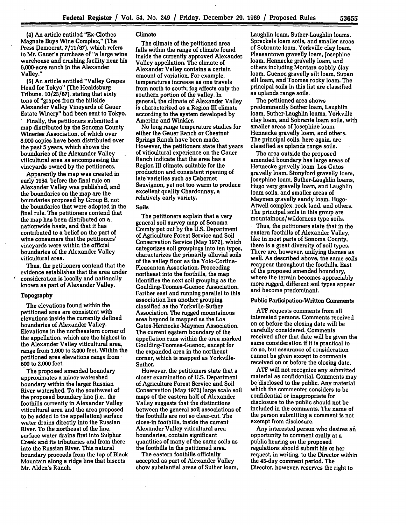(4] An article entitled "Ex-Clothes Magnate Buys Wine Complex," (The Press Democrat, **7/11/87),** which refers to Mr. Gauer's purchase of "a large wine warehouse and crushing facility near his 6,000-acre ranch in the Alexander Valley."

**(5)** An article entitled "Valley Grapes Head for Tokyo" (The Healdsburg Tribune, **10/23/87),** stating that sixty tons of "grapes from the hillside Alexander Valley Vineyards of Gauer Estate Winery" had been sent to Tokyo. **.** Finally, the petitioners submitted a

map distributed **by** the Sonoma County Wineries Association, of which over **8,000** copies have been distributed over the past **5** years, which shows the boundaries of the Alexander Valley viticultural area as encompassing the vineyards owned **by** the petitioners.

Apparently the map was created in early 1984, before the final rule on Alexander Valley was published, and the boundaries on the map are the boundaries proposed **by** Group B, not the boundaries that were adopted in the final rule. The petitioners contend that the map has been distributed on a nationwide basis, and that it has contributed to a belief on the part of wine consumers that the petitioners' vineyards were within the official boundaries of the Alexander Valley viticultural area.

Thus, the petitioners contend that the evidence establishes that the area under consideration is locally and nationally known as part of Alexander Valley.

#### Topography

 $\bar{z}$ 

The elevations found within the petitioned area are consistent with elevations inside the currently defined boundaries of Alexander Valley. Elevations in the northeastern comer of the appellation, which are the highest in the Alexander Valley viticultural area, range from **1,600** to 2,400 feet. Within the petitioned area elevations range from **600** to 2,000 feet.

The proposed amended boundary approximates a minor watershed boundary within the larger Russian River watershed. To the southwest of the proposed boundary line (i.e., the foothills currently in Alexander Valley viticultural area and the area proposed to be added to the appellation) surface water drains directly into the Russian River. To the northeast of the line, surface water drains first into Sulphur Creek and its tributaries and from there into the Russian River. This natural boundary proceeds from the top of Black Mountain along a ridge line that bisects Mr. Alden's Ranch.

# Climate

The climate of the petitioned area falls within the range of climate found inside the currently approved Alexander Valley appellation. The climate of Alexander Valley contains a certain amount of variation. For example, temperatures increase as one travels from north to south; fog affects only the southern portion of the valley. In general, the climate of Alexander Valley is characterized as a Region **III** climate according to the system developed **by** Amerine and Winkler.

No long range temperature studies for either the Gauer Ranch or Chestnut Springs Ranch have been made. However, the petitioners state that years of viticultural experience on the Gauer Ranch indicate that the area has a Region **III** climate, suitable for the production and consistent ripening of late varieties such as Cabernet Sauvignon, yet not too warm to produce excellent quality Chardonnay, a relatively early variety.

# Soils

The petitioners explain that a very general soil survey map of Sonoma County put out **by** the **U.S.** Department of Agriculture Forest Service and Soil Conservation Service (May **1972),** which categorizes soil groupings into ten types, characterizes the primarily alluvial soils of the valley floor as the Yolo-Cortina-Pleasanton Association. Proceeding northeast into the foothills, the map identifies the next soil grouping as the Goulding-Toomes-Guenoc Association. Farther east and running parallel to this association lies another grouping classified as the Yorkville-Suther Association. The rugged mountainous area beyond is mapped as the Los Gatos-Hennecke-Maymen Association. The current eastern boundary of the appellation runs within the area marked Goulding-Toomes-Guenoc, except for the expanded area in the northeast comer, which is mapped as Yorkville-Suther.

However, the petitioners state that a closer examination of **U.S.** Department of Agriculture Forest Service and Soil Conservation (May **1972)** large scale soil maps **of** the eastern half of Alexander Valley suggests that the distinctions between the general soil associations of the foothills are not so clear-cut. The close-in foothills, inside the current Alexander Valley viticultural area boundaries, contain significant quantities of many of the same soils as the foothills in the petitioned area.

The eastern foothills officially accepted as part of Alexander Valley show substantial areas of Suther loam,

Laughlin loam, Suther-Laughlin loams, Spreckels loam soils, and smaller areas of Sobrante loam, Yorkville clay loam, Pleasantown gravelly loam, Josephine loam, Hennecke gravelly loam, and others including Montara cobbly clay loam, Guenoc gravelly silt loam, Supan silt loam, and Toomes rocky loam. The principal soils in this list are classified as uplands range soils.

The petitioned area shows predominantly Suther loam, Laughlin loam, Suther-Laughlin loams, Yorkville clay loam, and Sobrante loam soils, with smaller areas of Josephine loam, Hennecke gravelly loam, and others. The principal soils, here again, are classified as uplands range soils.

The area outside the proposed amended boundary has large areas of Hennecke gravelly loam, Los Gatos gravelly loam, Stonyford gravelly loam, Josephine loam, Suther-Laughlin loams, Hugo very gravelly loam, and Laughlin loam soils, and smaller areas of Maymen gravelly sandy loam, Hugo-Atwell complex, rock land, and others. The principal soils in this group are mountainous/wilderness type soils.

Thus, the petitioners state that in the eastern foothills of Alexander Valley, like in most parts of Sonoma County, there is a great diversity of soil types. There are, however, unifying themes as well. As described above, the same soils reappear throughout the foothills. East of the proposed amended boundary, where the terrain becomes appreciably more rugged, different soil types appear and become predominant.

# Public Participation-Written Comments

**ATF** requests comments from all interested persons. Comments received on or before the closing date will be carefully considered. Comments received after that date will be given the same consideration if it is practical to do so, but assurance of consideration cannot be given except to comments received on or before the closing date.

**ATF** will not recognize any submitted material as confidential. Comments may be disclosed to the public. Any material which the commenter considers to be confidential or inappropriate for disclosure to the public should not be included in the comments. The name of the person submitting a comment is not exempt from disclosure.

Any interested person who desires **an** opportunity to comment orally at a public hearing on the proposed regulations should submit his or her request, in writing, to the Director within the 45-day comment period. The Director, however, reserves the right to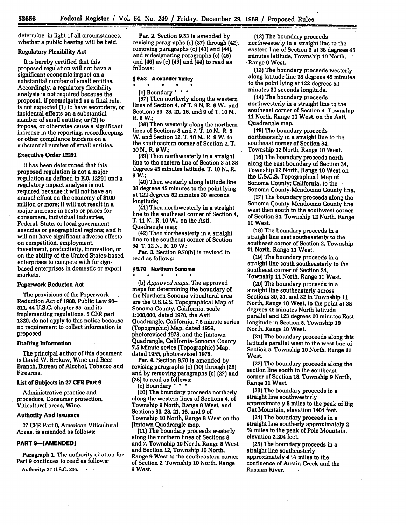determine, in light of all circumstances, whether a public hearing will be held.

# Regulatory Flexibility Act

It is hereby certified that this proposed regulation will not have a significant economic impact on a substantial number of small entities. Accordingly, a regulatory flexibility analysis is not required because the proposal, if promulgated as a final rule, is not expected **(1)** to have secondary, or incidental effects on a substantial number of small entities; or **(2)** to impose, or otherwise cause a significant increase in the reporting, recordkeeping, or other compliance burdens on a substantial number of small entities.

### Executive Order **12291**

It has been determined that this proposed regulation is not a major regulation as defined in **E.0.** 12291 and a regulatory impact analysis is not required because it will not have an annual effect on the economy **of \$100** million or more; it will not result in a major increase in costs or prices for consumers, individual industries, agencies or geographical regions; and it will not have significant adverse effects on competition, employment, investment, productivity, innovation, or on the ability of the United States-based enterprises to compete with foreignbased enterprises in domestic or export markets.

### Paperwork Reducton Act

The provisions of the Paperwork Reduction Act of **1980,** Public Law 96- 511, 44 **U.S.C.** chapter **35,** and its implementing regulations, **5** CFR part **1320,** do not apply to this notice because no requirement to collect information is proposed.

#### Drafting Information

The principal author of this document is David W. Brokaw, Wine and Beer Branch, Bureau of Alcohol, Tobacco and Firearms.

List of Subjects in **27** CFR Part 9

Administrative practice and procedure, Consumer protection, Viticultural areas, Wine.

## Authority **And** Issuance

**27** CFR Part **9,** American Viticultural Areas, is amended as follows:

# **PART 9-[AMENDED]**

Paragraph **1.** The authority citation for Part **9** continues to read as follows:

Authority: **27 U.S.C. 205.** • **-**

Par. 2. Section **9.53** is amended **by** revising paragraphs (c) **(37)** through **(42),** removing paragraphs (c) (43) and (44), and redesignating paragraphs (c) (45) and (46) as (c) (43) and (44) to read as **follows:**

#### **§ 9.53 Alexander Valley**

# \* \* \* \* **\*:** (c) Boundary **\* \* \***

**(37)** Then northerly along the western lines of Section 4, of T. 9 **N,** R. **8** W., and Sections **33, 28,** 21, **16,** and **9** of T. **10 N.,** R. **8** W.;

**(38)** Then westerly along the northern lines of Sections **8** and **7,** T. **10 N.,** R. **8** W. and Section 12, T. **10 N.,** R. **9** W. to the southeastern corner of Section 2, T. **10 N.,** R. **9** W.;

**(39)** Then northwesterly in a straight line to the eastern line of Section **3** at **38** degrees 45 minutes latitude, T. **10 N.,** R. **9 W.;**

(40) Then westerly along latitude line **38** degrees 45 minutes to the point lying at 122 degrees **52** minutes **30** seconds longitude;

(41) Then northwesterly in a straight line to the southeast corner of Section 4, T. **11** N., R. **10** W., on the Asti, Quadrangle map;

(42) Then northeasterly in a straight line to the southeast corner of Section 34, T. 12 **N.,** R. **10** W.;

Par. **3.** Section **9.70(b)** is revised to read as follows:

#### **§ 9.70 Northern Sonoma** \* \* \* \* \*

(b) *Approved maps.* The approved maps for determining the boundary of the Northern Sonoma viticultural area are the U.S.G.S. Topographical Map of Sonoma County, California, scale **1:100,000,** dated **1970,** the Asti Quadrangle, California, **7.5** minute series (Topographic) Map, dated **1959,** photorevised 1978, and the Jimtown Quadrangle, California-Sonoma County, **7.5** Minute series (Topographic) Map, dated **1955,** photorevised **1975.**

Par. 4. Section **9.70** is amended **by** revising paragraphs (c) **(10)** through **(26)** and **by** removing paragraphs (c) **(27)** and **(28)** to read as follows:

(c) Boundary **\* \* \* (10)** The boundary proceeds northerly

along the western lines of Sections 4, of Township 9 North, Range **8** West, and Sections **33, 28,** 21, **16,** and **9** of' Township **10** North, Range **8** West on the Jimtown Quadrangle map.

**(11)** The boundary proceeds westerly along the northern lines of Sections **8** and **7,** Township **10** North, Range **8** West and Section 12, Township **10** North, Range 9 West to the southeastern corner of Section 2, Township **10** North, Range **9** West.

(12) The boundary proceeds northwesterly in a straight line to the eastern line of Section **3** at **38** degrees 45 minutes latitude, Township **10** North,

**(13) The boundary proceeds westerly** along latitude line **38** degrees 45 minutes to the point lying at 122 degrees **52** minutes **30** seconds longitude.

(14) The boundary proceeds northwesterly in a straight line to the southeast corner of Section 4, Township **11** North, Range **10** West, on the Asti, Quadrangle map.

**(T5)** The boundary proceeds northeasterly in a straight line to the southeast corner of Section 34, Township 12 North, Range **10** West.

**(16)** The boundary proceeds north along the east boundary of Section 34, Township 12 North, Range **10** West on the **U.S.G.S.** Topographical Map of Sonoma County-Mendocino County line.

**(17)** The boundary proceeds along the Sonoma County-Mendocino County line west then south to the southwest corner of Section 34, Township 12 North, Range 11 West.

**(18)** The boundary proceeds in a straight line east southeasterly to the southeast corner of Section 2, Township 11 North, Range 11 West. **1**

**(19)** The boundary proceeds in a straight line south southeasterly to the southeast corner of Section 24, Township **11** North, Range 11 West.

(20) The boundary proceeds in a straight line southeasterly across Sections **30, 31,** and **32** in Township 11 North, Range **10** West, to the point at **38,** degrees 45 minutes North latitude parallel and **123** degrees **00** minutes East longitude in Section **5,** Township **10** North, Range **10** West.

(21) The boundary proceeds along this latitude parallel west to the west line of Section **5,** Township **10** North, Range **11** West.

(22) The boundary proceeds along the section line south to the southeast corner of Section **18,** Township **9** North, Range **11** West.

**(23)** The boundary proceeds in a straight line southwesterly approximately **5** miles to the peak of Big Oat Mountain, elevation 1404 feet.

(24) The boundary proceeds in a straight line southerly approximately 2 **%** miles to the peak of Pole Mountain, elevation 2,204 feet.

(25) The boundary proceeds in a straight line southeasterly approximately 4 **%** miles to the confluence of Austin Creek and the Russian River.